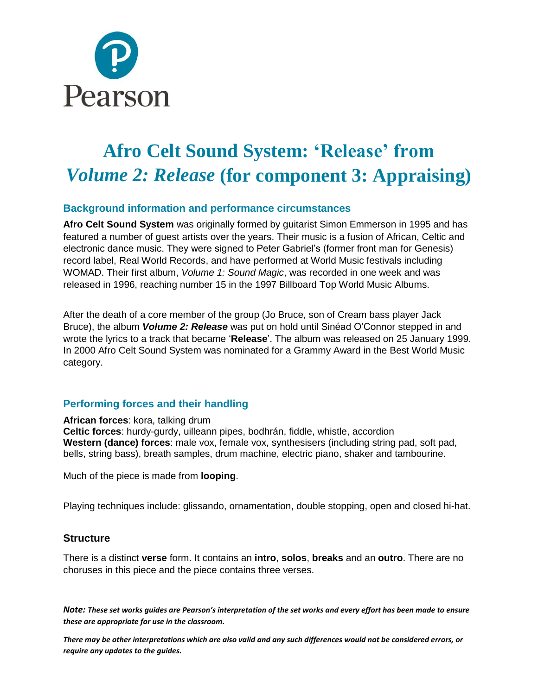

# **Afro Celt Sound System: 'Release' from**  *Volume 2: Release* **(for component 3: Appraising)**

# **Background information and performance circumstances**

**Afro Celt Sound System** was originally formed by guitarist Simon Emmerson in 1995 and has featured a number of guest artists over the years. Their music is a fusion of African, Celtic and electronic dance music. They were signed to Peter Gabriel's (former front man for Genesis) record label, Real World Records, and have performed at World Music festivals including WOMAD. Their first album, *Volume 1: Sound Magic*, was recorded in one week and was released in 1996, reaching number 15 in the 1997 Billboard Top World Music Albums.

After the death of a core member of the group (Jo Bruce, son of Cream bass player Jack Bruce), the album *Volume 2: Release* was put on hold until Sinéad O'Connor stepped in and wrote the lyrics to a track that became '**Release**'. The album was released on 25 January 1999. In 2000 Afro Celt Sound System was nominated for a Grammy Award in the Best World Music category.

# **Performing forces and their handling**

**African forces**: kora, talking drum **Celtic forces**: hurdy-gurdy, uilleann pipes, bodhrán, fiddle, whistle, accordion **Western (dance) forces**: male vox, female vox, synthesisers (including string pad, soft pad, bells, string bass), breath samples, drum machine, electric piano, shaker and tambourine.

Much of the piece is made from **looping**.

Playing techniques include: glissando, ornamentation, double stopping, open and closed hi-hat.

### **Structure**

There is a distinct **verse** form. It contains an **intro**, **solos**, **breaks** and an **outro**. There are no choruses in this piece and the piece contains three verses.

*Note: These set works guides are Pearson's interpretation of the set works and every effort has been made to ensure these are appropriate for use in the classroom.*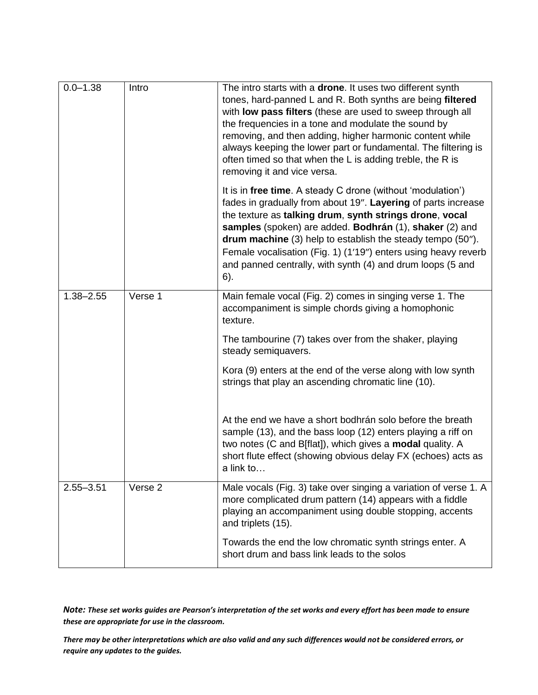| $0.0 - 1.38$  | Intro   | The intro starts with a drone. It uses two different synth<br>tones, hard-panned L and R. Both synths are being filtered<br>with low pass filters (these are used to sweep through all<br>the frequencies in a tone and modulate the sound by<br>removing, and then adding, higher harmonic content while<br>always keeping the lower part or fundamental. The filtering is<br>often timed so that when the L is adding treble, the R is<br>removing it and vice versa.                                                                                                                                           |
|---------------|---------|-------------------------------------------------------------------------------------------------------------------------------------------------------------------------------------------------------------------------------------------------------------------------------------------------------------------------------------------------------------------------------------------------------------------------------------------------------------------------------------------------------------------------------------------------------------------------------------------------------------------|
|               |         | It is in free time. A steady C drone (without 'modulation')<br>fades in gradually from about 19". Layering of parts increase<br>the texture as talking drum, synth strings drone, vocal<br>samples (spoken) are added. Bodhrán (1), shaker (2) and<br>drum machine (3) help to establish the steady tempo (50").<br>Female vocalisation (Fig. 1) (1'19") enters using heavy reverb<br>and panned centrally, with synth (4) and drum loops (5 and<br>6).                                                                                                                                                           |
| $1.38 - 2.55$ | Verse 1 | Main female vocal (Fig. 2) comes in singing verse 1. The<br>accompaniment is simple chords giving a homophonic<br>texture.<br>The tambourine (7) takes over from the shaker, playing<br>steady semiquavers.<br>Kora (9) enters at the end of the verse along with low synth<br>strings that play an ascending chromatic line (10).<br>At the end we have a short bodhrán solo before the breath<br>sample (13), and the bass loop (12) enters playing a riff on<br>two notes (C and B[flat]), which gives a <b>modal</b> quality. A<br>short flute effect (showing obvious delay FX (echoes) acts as<br>a link to |
| $2.55 - 3.51$ | Verse 2 | Male vocals (Fig. 3) take over singing a variation of verse 1. A<br>more complicated drum pattern (14) appears with a fiddle<br>playing an accompaniment using double stopping, accents<br>and triplets (15).<br>Towards the end the low chromatic synth strings enter. A<br>short drum and bass link leads to the solos                                                                                                                                                                                                                                                                                          |

*Note: These set works guides are Pearson's interpretation of the set works and every effort has been made to ensure these are appropriate for use in the classroom.*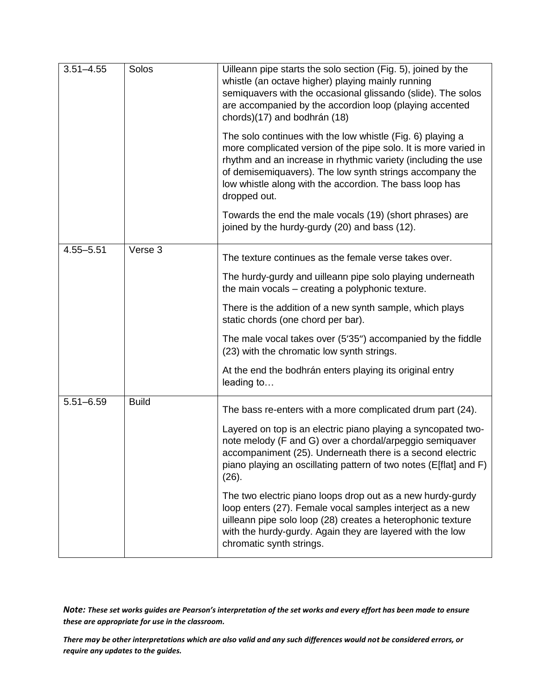| $3.51 - 4.55$ | Solos        | Uilleann pipe starts the solo section (Fig. 5), joined by the<br>whistle (an octave higher) playing mainly running<br>semiquavers with the occasional glissando (slide). The solos<br>are accompanied by the accordion loop (playing accented<br>chords)(17) and bodhrán (18)                                                         |
|---------------|--------------|---------------------------------------------------------------------------------------------------------------------------------------------------------------------------------------------------------------------------------------------------------------------------------------------------------------------------------------|
|               |              | The solo continues with the low whistle (Fig. 6) playing a<br>more complicated version of the pipe solo. It is more varied in<br>rhythm and an increase in rhythmic variety (including the use<br>of demisemiquavers). The low synth strings accompany the<br>low whistle along with the accordion. The bass loop has<br>dropped out. |
|               |              | Towards the end the male vocals (19) (short phrases) are<br>joined by the hurdy-gurdy (20) and bass (12).                                                                                                                                                                                                                             |
| $4.55 - 5.51$ | Verse 3      | The texture continues as the female verse takes over.                                                                                                                                                                                                                                                                                 |
|               |              | The hurdy-gurdy and uilleann pipe solo playing underneath<br>the main vocals – creating a polyphonic texture.                                                                                                                                                                                                                         |
|               |              | There is the addition of a new synth sample, which plays<br>static chords (one chord per bar).                                                                                                                                                                                                                                        |
|               |              | The male vocal takes over (5'35") accompanied by the fiddle<br>(23) with the chromatic low synth strings.                                                                                                                                                                                                                             |
|               |              | At the end the bodhrán enters playing its original entry<br>leading to                                                                                                                                                                                                                                                                |
| $5.51 - 6.59$ | <b>Build</b> | The bass re-enters with a more complicated drum part (24).                                                                                                                                                                                                                                                                            |
|               |              | Layered on top is an electric piano playing a syncopated two-<br>note melody (F and G) over a chordal/arpeggio semiquaver<br>accompaniment (25). Underneath there is a second electric<br>piano playing an oscillating pattern of two notes (E[flat] and F)<br>(26).                                                                  |
|               |              | The two electric piano loops drop out as a new hurdy-gurdy<br>loop enters (27). Female vocal samples interject as a new<br>uilleann pipe solo loop (28) creates a heterophonic texture<br>with the hurdy-gurdy. Again they are layered with the low<br>chromatic synth strings.                                                       |

*Note: These set works guides are Pearson's interpretation of the set works and every effort has been made to ensure these are appropriate for use in the classroom.*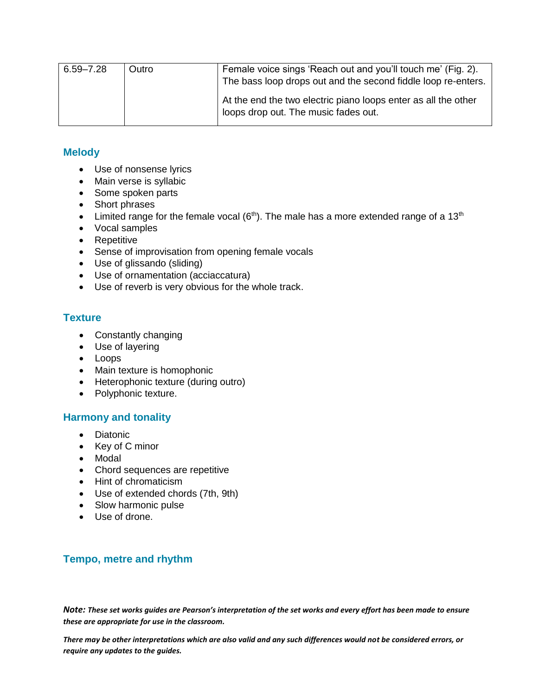| $6.59 - 7.28$ | Outro | Female voice sings 'Reach out and you'll touch me' (Fig. 2).<br>The bass loop drops out and the second fiddle loop re-enters. |
|---------------|-------|-------------------------------------------------------------------------------------------------------------------------------|
|               |       | At the end the two electric piano loops enter as all the other<br>loops drop out. The music fades out.                        |

# **Melody**

- Use of nonsense lyrics
- Main verse is syllabic
- Some spoken parts
- Short phrases
- Limited range for the female vocal  $(6<sup>th</sup>)$ . The male has a more extended range of a 13<sup>th</sup>
- Vocal samples
- Repetitive
- Sense of improvisation from opening female vocals
- Use of glissando (sliding)
- Use of ornamentation (acciaccatura)
- Use of reverb is very obvious for the whole track.

### **Texture**

- Constantly changing
- Use of layering
- Loops
- Main texture is homophonic
- Heterophonic texture (during outro)
- Polyphonic texture.

### **Harmony and tonality**

- Diatonic
- Key of C minor
- Modal
- Chord sequences are repetitive
- Hint of chromaticism
- Use of extended chords (7th, 9th)
- Slow harmonic pulse
- Use of drone.

# **Tempo, metre and rhythm**

*Note: These set works guides are Pearson's interpretation of the set works and every effort has been made to ensure these are appropriate for use in the classroom.*